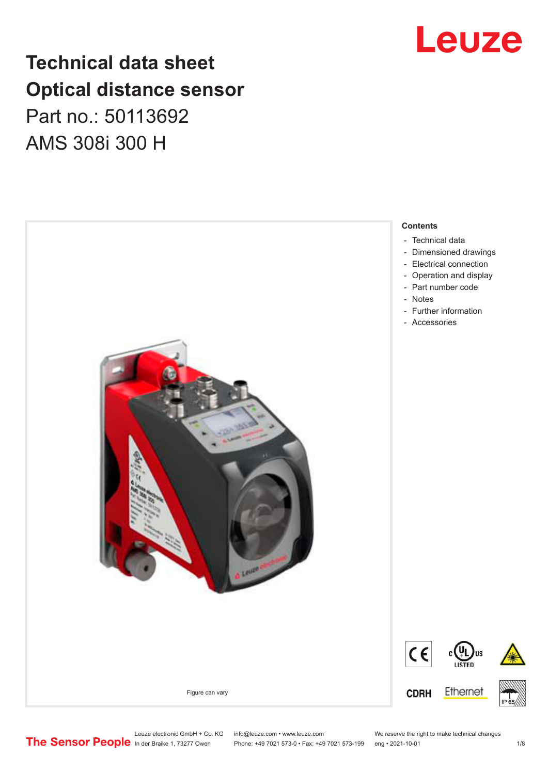### **Technical data sheet Optical distance sensor** Part no.: 50113692 AMS 308i 300 H



## Leuze

Leuze electronic GmbH + Co. KG info@leuze.com • www.leuze.com We reserve the right to make technical changes<br>
The Sensor People in der Braike 1, 73277 Owen Phone: +49 7021 573-0 • Fax: +49 7021 573-199 eng • 2021-10-01

Phone: +49 7021 573-0 • Fax: +49 7021 573-199 eng • 2021-10-01 1 2021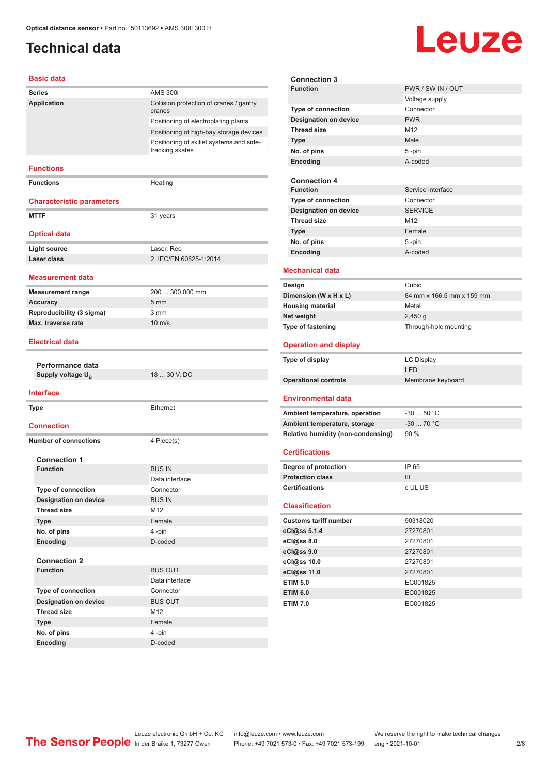### <span id="page-1-0"></span>**Technical data**

# Leuze

#### **Basic data**

| <b>Series</b>                          | <b>AMS 300i</b>                                             |
|----------------------------------------|-------------------------------------------------------------|
| Application                            | Collision protection of cranes / gantry                     |
|                                        | cranes                                                      |
|                                        | Positioning of electroplating plants                        |
|                                        | Positioning of high-bay storage devices                     |
|                                        | Positioning of skillet systems and side-<br>tracking skates |
| <b>Functions</b>                       |                                                             |
| <b>Functions</b>                       | Heating                                                     |
| <b>Characteristic parameters</b>       |                                                             |
| <b>MTTF</b>                            | 31 years                                                    |
|                                        |                                                             |
| <b>Optical data</b>                    |                                                             |
| <b>Light source</b>                    | Laser, Red                                                  |
| Laser class                            | 2, IEC/EN 60825-1:2014                                      |
|                                        |                                                             |
| Measurement data                       |                                                             |
| <b>Measurement range</b>               | 200  300,000 mm                                             |
| <b>Accuracy</b>                        | 5 <sub>mm</sub>                                             |
| Reproducibility (3 sigma)              | 3 mm                                                        |
| Max. traverse rate                     | $10 \text{ m/s}$                                            |
| <b>Electrical data</b>                 |                                                             |
|                                        |                                                             |
| Performance data                       |                                                             |
| Supply voltage U <sub>R</sub>          | 18  30 V, DC                                                |
|                                        |                                                             |
| <b>Interface</b>                       |                                                             |
| <b>Type</b>                            | Ethernet                                                    |
|                                        |                                                             |
| <b>Connection</b>                      |                                                             |
| <b>Number of connections</b>           | 4 Piece(s)                                                  |
|                                        |                                                             |
| <b>Connection 1</b><br><b>Function</b> | <b>BUS IN</b>                                               |
|                                        | Data interface                                              |
| <b>Type of connection</b>              | Connector                                                   |
| <b>Designation on device</b>           | <b>BUS IN</b>                                               |
| <b>Thread size</b>                     | M12                                                         |
| <b>Type</b>                            | Female                                                      |
| No. of pins                            | 4-pin                                                       |
| Encoding                               | D-coded                                                     |
|                                        |                                                             |
| <b>Connection 2</b>                    |                                                             |
| <b>Function</b>                        | <b>BUS OUT</b>                                              |
|                                        | Data interface                                              |
| Type of connection                     | Connector                                                   |
| <b>Designation on device</b>           | <b>BUS OUT</b>                                              |
| <b>Thread size</b>                     | M <sub>12</sub>                                             |
| <b>Type</b>                            | Female<br>4-pin                                             |
| No. of pins<br>Encoding                | D-coded                                                     |
|                                        |                                                             |

|                                       | <b>Connection 3</b>                |                           |  |
|---------------------------------------|------------------------------------|---------------------------|--|
| <b>Function</b>                       |                                    | PWR / SW IN / OUT         |  |
|                                       |                                    | Voltage supply            |  |
|                                       | <b>Type of connection</b>          | Connector                 |  |
|                                       | <b>Designation on device</b>       | <b>PWR</b>                |  |
| <b>Thread size</b>                    |                                    | M12                       |  |
| Type                                  |                                    | Male                      |  |
| No. of pins                           |                                    | 5-pin                     |  |
| Encoding                              |                                    | A-coded                   |  |
|                                       |                                    |                           |  |
|                                       | <b>Connection 4</b>                |                           |  |
| <b>Function</b>                       |                                    | Service interface         |  |
|                                       | Type of connection                 | Connector                 |  |
|                                       | <b>Designation on device</b>       | <b>SERVICE</b>            |  |
| <b>Thread size</b>                    |                                    | M12                       |  |
| Type                                  |                                    | Female                    |  |
| No. of pins                           |                                    | 5-pin                     |  |
| Encoding                              |                                    | A-coded                   |  |
|                                       |                                    |                           |  |
|                                       | <b>Mechanical data</b>             |                           |  |
| Design                                |                                    | Cubic                     |  |
|                                       | Dimension (W x H x L)              | 84 mm x 166.5 mm x 159 mm |  |
|                                       |                                    | Metal                     |  |
| <b>Housing material</b><br>Net weight |                                    | $2,450$ g                 |  |
| <b>Type of fastening</b>              |                                    | Through-hole mounting     |  |
|                                       |                                    |                           |  |
|                                       |                                    |                           |  |
|                                       | <b>Operation and display</b>       |                           |  |
| Type of display                       |                                    | LC Display                |  |
|                                       |                                    | LED                       |  |
|                                       | <b>Operational controls</b>        | Membrane keyboard         |  |
|                                       |                                    |                           |  |
|                                       | <b>Environmental data</b>          |                           |  |
|                                       | Ambient temperature, operation     | $-30$ 50 °C               |  |
|                                       | Ambient temperature, storage       | $-30$ 70 °C               |  |
|                                       | Relative humidity (non-condensing) | 90%                       |  |
|                                       |                                    |                           |  |
| <b>Certifications</b>                 |                                    |                           |  |
|                                       |                                    | IP 65                     |  |
| <b>Protection class</b>               | Degree of protection               | III                       |  |
| <b>Certifications</b>                 |                                    | c UL US                   |  |
|                                       |                                    |                           |  |
| <b>Classification</b>                 |                                    |                           |  |
|                                       | <b>Customs tariff number</b>       | 90318020                  |  |
| eCl@ss 5.1.4                          |                                    | 27270801                  |  |
| eCl@ss 8.0                            |                                    | 27270801                  |  |
| eCl@ss 9.0                            |                                    | 27270801                  |  |
| eCl@ss 10.0                           |                                    | 27270801                  |  |
| eCl@ss 11.0                           |                                    | 27270801                  |  |
| <b>ETIM 5.0</b>                       |                                    | EC001825                  |  |
| <b>ETIM 6.0</b>                       |                                    | EC001825                  |  |
| <b>ETIM 7.0</b>                       |                                    | EC001825                  |  |

Leuze electronic GmbH + Co. KG info@leuze.com • www.leuze.com We reserve the right to make technical changes In der Braike 1, 73277 Owen Phone: +49 7021 573-0 • Fax: +49 7021 573-199 eng • 2021-10-01 2 /8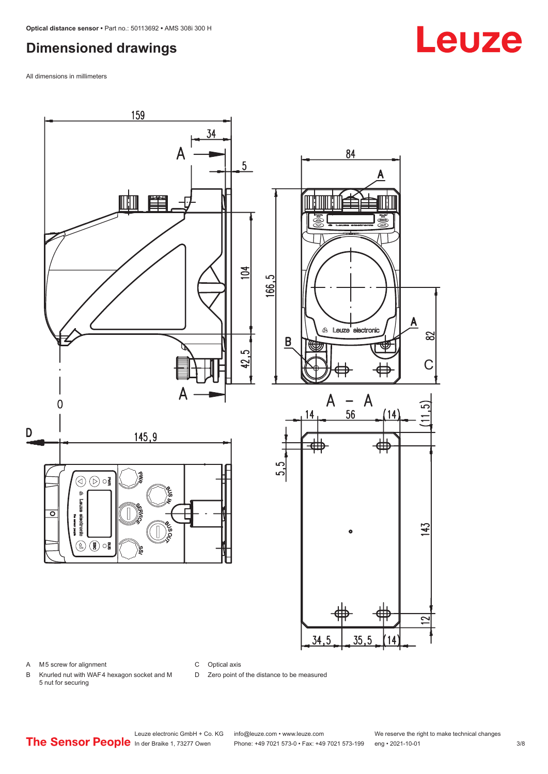#### <span id="page-2-0"></span>**Dimensioned drawings**

All dimensions in millimeters



A M5 screw for alignment

C Optical axis

D Zero point of the distance to be measured

B Knurled nut with WAF 4 hexagon socket and M 5 nut for securing

Leuze electronic GmbH + Co. KG info@leuze.com • www.leuze.com We reserve the right to make technical changes<br>
The Sensor People in der Braike 1, 73277 Owen Phone: +49 7021 573-0 • Fax: +49 7021 573-199 eng • 2021-10-01 Phone: +49 7021 573-0 • Fax: +49 7021 573-199 eng • 2021-10-01 3/8

## **Leuze**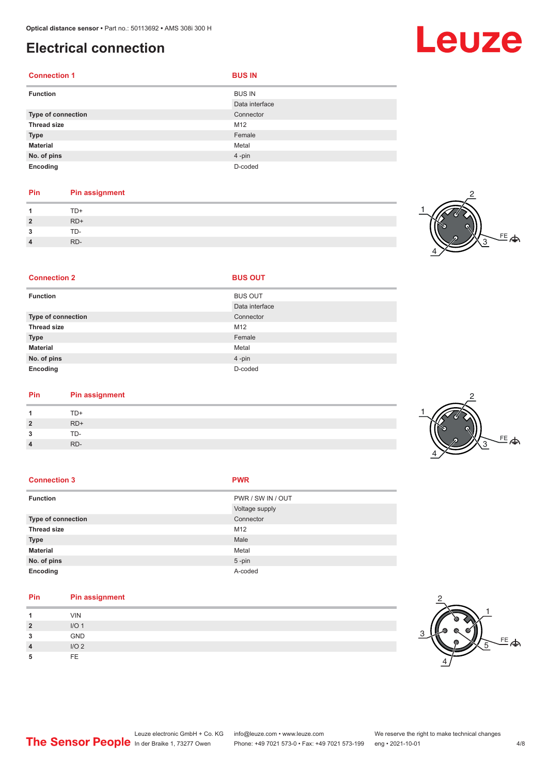#### <span id="page-3-0"></span>**Electrical connection**

| <b>Connection 1</b> | <b>BUS IN</b>                   |
|---------------------|---------------------------------|
| <b>Function</b>     | <b>BUS IN</b><br>Data interface |
| Type of connection  | Connector                       |
| <b>Thread size</b>  | M12                             |
| <b>Type</b>         | Female                          |
| <b>Material</b>     | Metal                           |
| No. of pins         | 4-pin                           |
| Encoding            | D-coded                         |

#### **Pin Pin assignment** 1 TD+<br>2 RD+ **2** RD+ **3** TD-**4** RD-

**Connection 2 BUS OUT** 



| <b>Function</b>    | <b>BUS OUT</b> |
|--------------------|----------------|
|                    | Data interface |
| Type of connection | Connector      |
| <b>Thread size</b> | M12            |
| <b>Type</b>        | Female         |
| <b>Material</b>    | Metal          |
| No. of pins        | 4-pin          |
| Encoding           | D-coded        |

| <b>Pin</b> | <b>Pin assignment</b> |
|------------|-----------------------|
| -1         | TD+                   |

| $\overline{1}$ | TD+   |
|----------------|-------|
| $\overline{2}$ | $RD+$ |
| 3              | TD-   |
| $\overline{4}$ | RD-   |

| <b>Connection 3</b> | <b>PWR</b>        |
|---------------------|-------------------|
| <b>Function</b>     | PWR / SW IN / OUT |
|                     | Voltage supply    |
| Type of connection  | Connector         |
| <b>Thread size</b>  | M12               |
| <b>Type</b>         | Male              |
| <b>Material</b>     | Metal             |
| No. of pins         | $5 - pin$         |
| Encoding            | A-coded           |

| Pin            | <b>Pin assignment</b> |
|----------------|-----------------------|
|                | <b>VIN</b>            |
| $\overline{2}$ | I/O <sub>1</sub>      |
| 3              | GND                   |
| 4              | I/O2                  |
| 5              | FE.                   |







## **Leuze**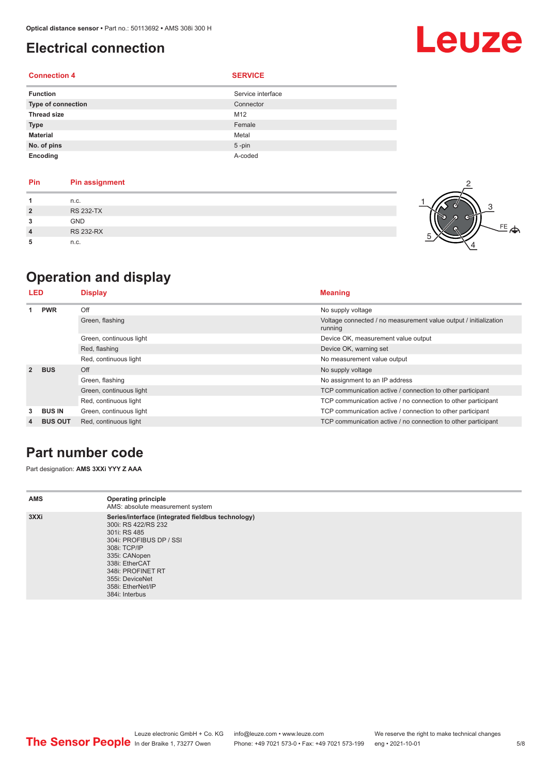#### <span id="page-4-0"></span>**Electrical connection**

#### **Connection 4 SERVICE**

| <b>Function</b>    | Service interface |
|--------------------|-------------------|
| Type of connection | Connector         |
| <b>Thread size</b> | M12               |
| <b>Type</b>        | Female            |
| <b>Material</b>    | Metal             |
| No. of pins        | $5 - pin$         |
| Encoding           | A-coded           |

| <b>Pin</b>     | <b>Pin assignment</b> |
|----------------|-----------------------|
|                | n.c.                  |
| $\overline{2}$ | <b>RS 232-TX</b>      |
| 3              | <b>GND</b>            |
| 4              | <b>RS 232-RX</b>      |
| 5              | n.c.                  |



Leuze

### **Operation and display**

| LED            |                | <b>Display</b>          | <b>Meaning</b>                                                              |
|----------------|----------------|-------------------------|-----------------------------------------------------------------------------|
|                | <b>PWR</b>     | Off                     | No supply voltage                                                           |
|                |                | Green, flashing         | Voltage connected / no measurement value output / initialization<br>running |
|                |                | Green, continuous light | Device OK, measurement value output                                         |
|                |                | Red, flashing           | Device OK, warning set                                                      |
|                |                | Red, continuous light   | No measurement value output                                                 |
| $\overline{2}$ | <b>BUS</b>     | Off                     | No supply voltage                                                           |
|                |                | Green, flashing         | No assignment to an IP address                                              |
|                |                | Green, continuous light | TCP communication active / connection to other participant                  |
|                |                | Red, continuous light   | TCP communication active / no connection to other participant               |
| 3              | <b>BUS IN</b>  | Green, continuous light | TCP communication active / connection to other participant                  |
| 4              | <b>BUS OUT</b> | Red, continuous light   | TCP communication active / no connection to other participant               |

#### **Part number code**

Part designation: **AMS 3XXi YYY Z AAA**

| <b>AMS</b> | <b>Operating principle</b><br>AMS: absolute measurement system                                                                                                                                                                                        |
|------------|-------------------------------------------------------------------------------------------------------------------------------------------------------------------------------------------------------------------------------------------------------|
| 3XXi       | Series/interface (integrated fieldbus technology)<br>300i: RS 422/RS 232<br>301i: RS 485<br>304i: PROFIBUS DP / SSI<br>308i: TCP/IP<br>335i: CANopen<br>338i: EtherCAT<br>348i: PROFINET RT<br>355i: DeviceNet<br>358i: EtherNet/IP<br>384i: Interbus |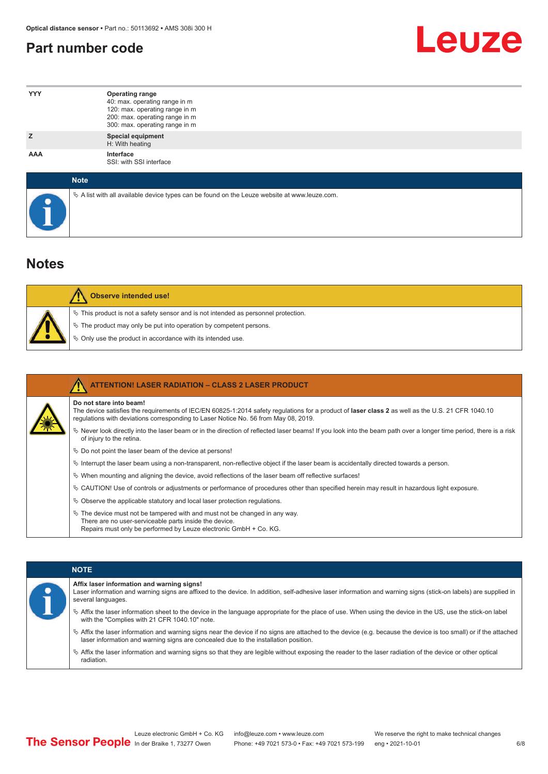#### <span id="page-5-0"></span>**Part number code**



| <b>YYY</b>  | <b>Operating range</b><br>40: max. operating range in m<br>120: max. operating range in m<br>200: max. operating range in m<br>300: max. operating range in m |
|-------------|---------------------------------------------------------------------------------------------------------------------------------------------------------------|
| z           | <b>Special equipment</b><br>H: With heating                                                                                                                   |
| <b>AAA</b>  | Interface<br>SSI: with SSI interface                                                                                                                          |
| <b>Note</b> |                                                                                                                                                               |

 $\%$  A list with all available device types can be found on the Leuze website at www.leuze.com.

#### **Notes**

| <b>Observe intended use!</b>                                                                                                                                                                                                     |
|----------------------------------------------------------------------------------------------------------------------------------------------------------------------------------------------------------------------------------|
| $\%$ This product is not a safety sensor and is not intended as personnel protection.<br>$\%$ The product may only be put into operation by competent persons.<br>$\%$ Only use the product in accordance with its intended use. |

|  | <b>ATTENTION! LASER RADIATION - CLASS 2 LASER PRODUCT</b>                                                                                                                                                                                                           |
|--|---------------------------------------------------------------------------------------------------------------------------------------------------------------------------------------------------------------------------------------------------------------------|
|  | Do not stare into beam!<br>The device satisfies the requirements of IEC/EN 60825-1:2014 safety regulations for a product of laser class 2 as well as the U.S. 21 CFR 1040.10<br>requlations with deviations corresponding to Laser Notice No. 56 from May 08, 2019. |
|  | Never look directly into the laser beam or in the direction of reflected laser beams! If you look into the beam path over a longer time period, there is a risk<br>of injury to the retina.                                                                         |
|  | $\%$ Do not point the laser beam of the device at persons!                                                                                                                                                                                                          |
|  | Interrupt the laser beam using a non-transparent, non-reflective object if the laser beam is accidentally directed towards a person.                                                                                                                                |
|  | $\%$ When mounting and aligning the device, avoid reflections of the laser beam off reflective surfaces!                                                                                                                                                            |
|  | $\&$ CAUTION! Use of controls or adjustments or performance of procedures other than specified herein may result in hazardous light exposure.                                                                                                                       |
|  | $\&$ Observe the applicable statutory and local laser protection regulations.                                                                                                                                                                                       |
|  | $\ddot{\varphi}$ The device must not be tampered with and must not be changed in any way.<br>There are no user-serviceable parts inside the device.<br>Repairs must only be performed by Leuze electronic GmbH + Co. KG.                                            |

|  |  | <b>NOTE</b>                                                                                                                                                                                                                                                |
|--|--|------------------------------------------------------------------------------------------------------------------------------------------------------------------------------------------------------------------------------------------------------------|
|  |  | Affix laser information and warning signs!<br>Laser information and warning signs are affixed to the device. In addition, self-adhesive laser information and warning signs (stick-on labels) are supplied in<br>several languages.                        |
|  |  | the laser information sheet to the device in the language appropriate for the place of use. When using the device in the US, use the stick-on label<br>with the "Complies with 21 CFR 1040.10" note.                                                       |
|  |  | $\%$ Affix the laser information and warning signs near the device if no signs are attached to the device (e.g. because the device is too small) or if the attached<br>laser information and warning signs are concealed due to the installation position. |
|  |  | $\%$ Affix the laser information and warning signs so that they are legible without exposing the reader to the laser radiation of the device or other optical<br>radiation.                                                                                |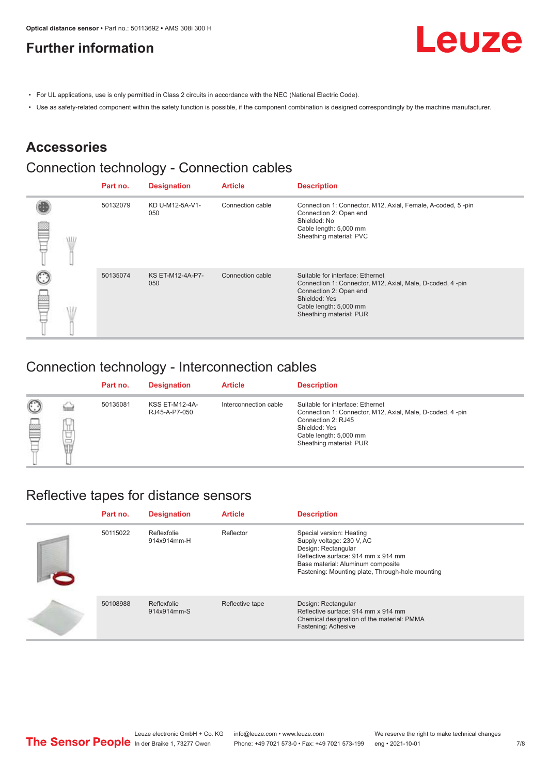#### <span id="page-6-0"></span>**Further information**



- For UL applications, use is only permitted in Class 2 circuits in accordance with the NEC (National Electric Code).
- Use as safety-related component within the safety function is possible, if the component combination is designed correspondingly by the machine manufacturer.

#### **Accessories**

### Connection technology - Connection cables

|            | Part no. | <b>Designation</b>      | <b>Article</b>   | <b>Description</b>                                                                                                                                                                            |
|------------|----------|-------------------------|------------------|-----------------------------------------------------------------------------------------------------------------------------------------------------------------------------------------------|
| <b>ALL</b> | 50132079 | KD U-M12-5A-V1-<br>050  | Connection cable | Connection 1: Connector, M12, Axial, Female, A-coded, 5-pin<br>Connection 2: Open end<br>Shielded: No<br>Cable length: 5,000 mm<br>Sheathing material: PVC                                    |
|            | 50135074 | KS ET-M12-4A-P7-<br>050 | Connection cable | Suitable for interface: Ethernet<br>Connection 1: Connector, M12, Axial, Male, D-coded, 4-pin<br>Connection 2: Open end<br>Shielded: Yes<br>Cable length: 5,000 mm<br>Sheathing material: PUR |

#### Connection technology - Interconnection cables

|                   |             | Part no. | <b>Designation</b>                     | <b>Article</b>        | <b>Description</b>                                                                                                                                                                        |
|-------------------|-------------|----------|----------------------------------------|-----------------------|-------------------------------------------------------------------------------------------------------------------------------------------------------------------------------------------|
| $\mathbb{C}$<br>≝ | щ<br>⊔<br>Ī | 50135081 | <b>KSS ET-M12-4A-</b><br>RJ45-A-P7-050 | Interconnection cable | Suitable for interface: Ethernet<br>Connection 1: Connector, M12, Axial, Male, D-coded, 4-pin<br>Connection 2: RJ45<br>Shielded: Yes<br>Cable length: 5,000 mm<br>Sheathing material: PUR |

#### Reflective tapes for distance sensors

| Part no. | <b>Designation</b>         | <b>Article</b>  | <b>Description</b>                                                                                                                                                                                           |
|----------|----------------------------|-----------------|--------------------------------------------------------------------------------------------------------------------------------------------------------------------------------------------------------------|
| 50115022 | Reflexfolie<br>914x914mm-H | Reflector       | Special version: Heating<br>Supply voltage: 230 V, AC<br>Design: Rectangular<br>Reflective surface: 914 mm x 914 mm<br>Base material: Aluminum composite<br>Fastening: Mounting plate, Through-hole mounting |
| 50108988 | Reflexfolie<br>914x914mm-S | Reflective tape | Design: Rectangular<br>Reflective surface: 914 mm x 914 mm<br>Chemical designation of the material: PMMA<br>Fastening: Adhesive                                                                              |